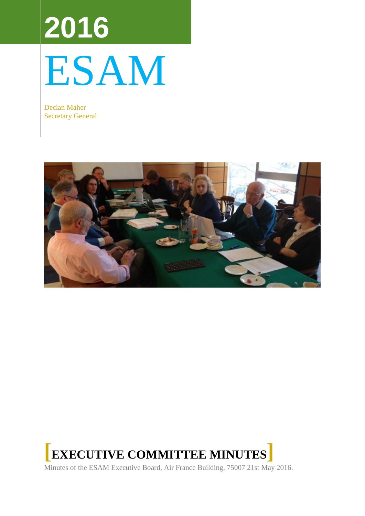# **2016** ESAM

Declan Maher Secretary General





Minutes of the ESAM Executive Board, Air France Building, 75007 21st May 2016.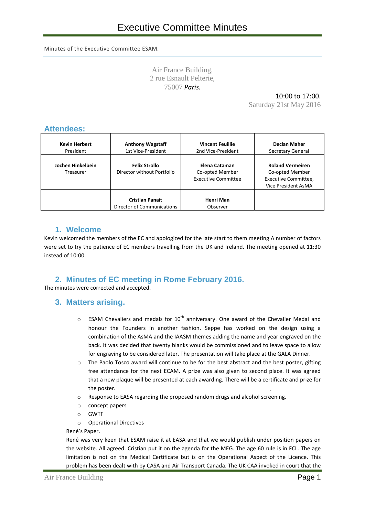Minutes of the Executive Committee ESAM.

Air France Building, 2 rue Esnault Pelterie, 75007 *Paris.*

**.**

10:00 to 17:00.

Saturday 21st May 2016

#### **Attendees:** Time: 4 thJuly 2010 09:00 -17:00

| <b>Kevin Herbert</b><br>President | <b>Anthony Wagstaff</b><br>1st Vice-President | <b>Vincent Feuillie</b><br>2nd Vice-President | Declan Maher<br>Secretary General |
|-----------------------------------|-----------------------------------------------|-----------------------------------------------|-----------------------------------|
|                                   |                                               |                                               |                                   |
| Jochen Hinkelbein                 | <b>Felix Strollo</b>                          | Elena Cataman                                 | <b>Roland Vermeiren</b>           |
| Treasurer                         | Director without Portfolio                    | Co-opted Member                               | Co-opted Member                   |
|                                   |                                               | <b>Executive Committee</b>                    | Executive Committee,              |
|                                   |                                               |                                               | Vice President AsMA               |
|                                   | <b>Cristian Panait</b>                        | Henri Man                                     |                                   |
|                                   | Director of Communications                    | Observer                                      |                                   |

# **1. Welcome**

Kevin welcomed the members of the EC and apologized for the late start to them meeting A number of factors were set to try the patience of EC members travelling from the UK and Ireland. The meeting opened at 11:30  $instead of 10:00.$ 

# **2. Minutes of EC meeting in Rome February 2016.**

The minutes were corrected and accepted.<br>
<br>
about Andy Sessions about 2 sessions about the could give 2 setsions, one as flight safety safety and the could give 2 setsions, one as flight safety safety safety safety safety

#### **3. Matters arising. participanel and one at the GA, where he will both speak as AsMA Representative and work on the WA Representative and work on the WA Representative and work on the WA Representative and work on the** international relationships. Kevin proposed an invitation to Prof. Bagshaw to attend ECAM.

- $\circ$  ESAM Chevaliers and medals for 10<sup>th</sup> anniversary. One award of the Chevalier Medal and honour the Founders in another fashion. Seppe has worked on the design using a combination of the AsMA and the IAASM themes adding the name and year engraved on the back. It was decided that twenty blanks would be commissioned and to leave space to allow for engraving to be considered later. The presentation will take place at the GALA Dinner.
- $\circ$  The Paolo Tosco award will continue to be for the best abstract and the best poster, gifting free attendance for the next ECAM. A prize was also given to second place. It was agreed that a new plaque will be presented at each awarding. There will be a certificate and prize for the poster.  $\mathcal{M}$  the poster. It is not poster, it is not poster, to move the abstracts however, to move the abstracts however, to move the abstracts however, to move the abstracts of  $\mathcal{M}$
- $\circ$  Response to EASA regarding the proposed random drugs and alcohol screening.
- o concept papers  $\circ$  concept papers to avoid penalties to the main venue to the Hellenic Society, but a number of  $\circ$
- o GWTF  $\circ$  given by  $\circ$  in other locations, as the considerably cheaper. A lot of official be considerably cheaper. A lot of  $\circ$
- o Operational Directives should be contacted for support. A specific form will be prepared and published by prepared and published by prepared and published by prepared and published by prepared and published by published

#### René's Paper. Greek organising Committee Committee Committee opportunity for sponsors to display their products. The interval their products of sponsors to display the interval their products. The interval theorem is a sponsors to displ

René was very keen that ESAM raise it at EASA and that we would publish under position papers on the website. All agreed. Cristian put it on the agenda for the MEG. The age 60 rule is in FCL. The age limitation is not on the Medical Certificate but is on the Operational Aspect of the Licence. This problem has been dealt with by CASA and Air Transport Canada. The UK CAA invoked in court that the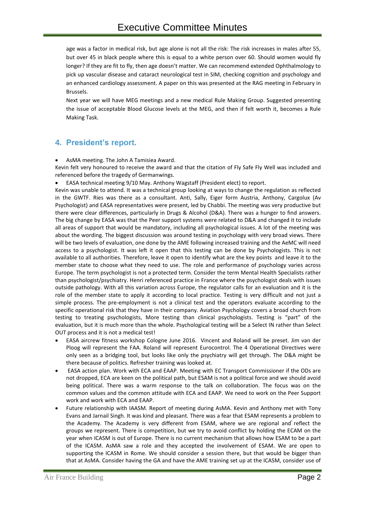age was a factor in medical risk, but age alone is not all the risk: The risk increases in males after 55, but over 45 in black people where this is equal to a white person over 60. Should women would fly longer? If they are fit to fly, then age doesn't matter. We can recommend extended Ophthalmology to pick up vascular disease and cataract neurological test in SIM, checking cognition and psychology and an enhanced cardiology assessment. A paper on this was presented at the RAG meeting in February in Brussels.

Next year we will have MEG meetings and a new medical Rule Making Group. Suggested presenting the issue of acceptable Blood Glucose levels at the MEG, and then if felt worth it, becomes a Rule Making Task.

# **4. President's report.**

AsMA meeting. The John A Tamisiea Award.

Kevin felt very honoured to receive the award and that the citation of Fly Safe Fly Well was included and referenced before the tragedy of Germanwings.

EASA technical meeting 9/10 May. Anthony Wagstaff (President elect) to report.

Kevin was unable to attend. It was a technical group looking at ways to change the regulation as reflected in the GWTF. Ries was there as a consultant. Anti, Sally, Eiger form Austria, Anthony, Cargolux (Av Psychologist) and EASA representatives were present, led by Chabbi. The meeting was very productive but there were clear differences, particularly in Drugs & Alcohol (D&A). There was a hunger to find answers. The big change by EASA was that the Peer support systems were related to D&A and changed it to include all areas of support that would be mandatory, including all psychological issues. A lot of the meeting was about the wording. The biggest discussion was around testing in psychology with very broad views. There will be two levels of evaluation, one done by the AME following increased training and the AeMC will need access to a psychologist. It was left it open that this testing can be done by Psychologists. This is not available to all authorities. Therefore, leave it open to identify what are the key points and leave it to the member state to choose what they need to use. The role and performance of psychology varies across Europe. The term psychologist is not a protected term. Consider the term Mental Health Specialists rather than psychologist/psychiatry. Henri referenced practice in France where the psychologist deals with issues outside pathology. With all this variation across Europe, the regulator calls for an evaluation and it is the role of the member state to apply it according to local practice. Testing is very difficult and not just a simple process. The pre-employment is not a clinical test and the operators evaluate according to the specific operational risk that they have in their company. Aviation Psychology covers a broad church from testing to treating psychologists, More testing than clinical psychologists. Testing is "part" of the evaluation, but it is much more than the whole. Psychological testing will be a Select IN rather than Select OUT process and it is not a medical test!

- EASA aircrew fitness workshop Cologne June 2016. Vincent and Roland will be preset. Jim van der Ploog will represent the FAA. Roland will represent Eurocontrol. The 4 Operational Directives were only seen as a bridging tool, but looks like only the psychiatry will get through. The D&A might be there because of politics. Refresher training was looked at.
- EASA action plan. Work with ECA and EAAP. Meeting with EC Transport Commissioner if the ODs are not dropped, ECA are keen on the political path, but ESAM is not a political force and we should avoid being political. There was a warm response to the talk on collaboration. The focus was on the common values and the common attitude with ECA and EAAP. We need to work on the Peer Support work and work with ECA and EAAP.
- Future relationship with IAASM. Report of meeting during AsMA. Kevin and Anthony met with Tony Evans and Jarnail Singh. It was kind and pleasant. There was a fear that ESAM represents a problem to the Academy. The Academy is very different from ESAM, where we are regional and reflect the groups we represent. There is competition, but we try to avoid conflict by holding the ECAM on the year when ICASM is out of Europe. There is no current mechanism that allows how ESAM to be a part of the ICASM. AsMA saw a role and they accepted the involvement of ESAM. We are open to supporting the ICASM in Rome. We should consider a session there, but that would be bigger than that at AsMA. Consider having the GA and have the AME training set up at the ICASM, consider use of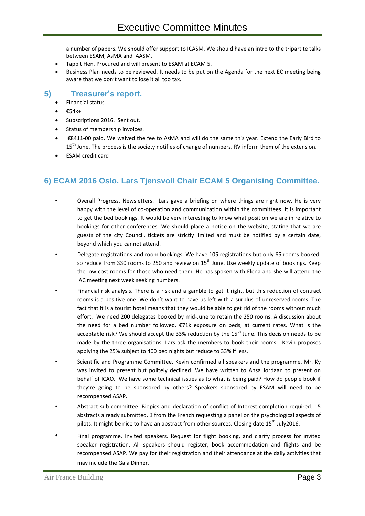a number of papers. We should offer support to ICASM. We should have an intro to the tripartite talks between ESAM, AsMA and IAASM.

- Tappit Hen. Procured and will present to ESAM at ECAM 5.
- Business Plan needs to be reviewed. It needs to be put on the Agenda for the next EC meeting being aware that we don't want to lose it all too tax.

#### **5) Treasurer's report.**

- Financial status
- €54k+
- Subscriptions 2016. Sent out.
- Status of membership invoices.
- €8411-00 paid. We waived the fee to AsMA and will do the same this year. Extend the Early Bird to 15<sup>th</sup> June. The process is the society notifies of change of numbers. RV inform them of the extension.
- ESAM credit card

# **6) ECAM 2016 Oslo. Lars Tjensvoll Chair ECAM 5 Organising Committee.**

- Overall Progress. Newsletters. Lars gave a briefing on where things are right now. He is very happy with the level of co-operation and communication within the committees. It is important to get the bed bookings. It would be very interesting to know what position we are in relative to bookings for other conferences. We should place a notice on the website, stating that we are guests of the city Council, tickets are strictly limited and must be notified by a certain date, beyond which you cannot attend.
- Delegate registrations and room bookings. We have 105 registrations but only 65 rooms booked, so reduce from 330 rooms to 250 and review on  $15<sup>th</sup>$  June. Use weekly update of bookings. Keep the low cost rooms for those who need them. He has spoken with Elena and she will attend the IAC meeting next week seeking numbers.
- Financial risk analysis. There is a risk and a gamble to get it right, but this reduction of contract rooms is a positive one. We don't want to have us left with a surplus of unreserved rooms. The fact that it is a tourist hotel means that they would be able to get rid of the rooms without much effort. We need 200 delegates booked by mid-June to retain the 250 rooms. A discussion about the need for a bed number followed. €71k exposure on beds, at current rates. What is the acceptable risk? We should accept the 33% reduction by the  $15<sup>th</sup>$  June. This decision needs to be made by the three organisations. Lars ask the members to book their rooms. Kevin proposes applying the 25% subject to 400 bed nights but reduce to 33% if less.
- Scientific and Programme Committee. Kevin confirmed all speakers and the programme. Mr. Ky was invited to present but politely declined. We have written to Ansa Jordaan to present on behalf of ICAO. We have some technical issues as to what is being paid? How do people book if they're going to be sponsored by others? Speakers sponsored by ESAM will need to be recompensed ASAP.
- Abstract sub-committee. Biopics and declaration of conflict of Interest completion required. 15 abstracts already submitted. 3 from the French requesting a panel on the psychological aspects of pilots. It might be nice to have an abstract from other sources. Closing date  $15^{th}$  July2016.
- Final programme. Invited speakers. Request for flight booking, and clarify process for invited speaker registration. All speakers should register, book accommodation and flights and be recompensed ASAP. We pay for their registration and their attendance at the daily activities that may include the Gala Dinner.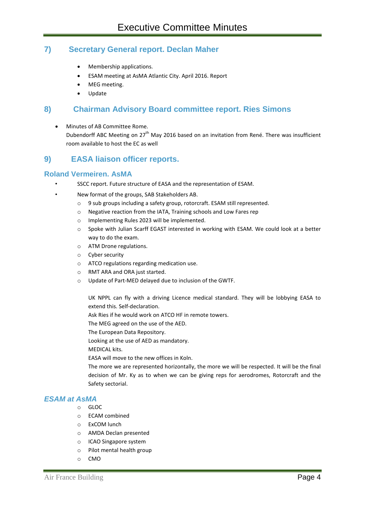# **7) Secretary General report. Declan Maher**

- Membership applications.
- ESAM meeting at AsMA Atlantic City. April 2016. Report
- MEG meeting.
- Update

# **8) Chairman Advisory Board committee report. Ries Simons**

 Minutes of AB Committee Rome. Dubendorff ABC Meeting on 27<sup>th</sup> May 2016 based on an invitation from René. There was insufficient room available to host the EC as well

# **9) EASA liaison officer reports.**

# **Roland Vermeiren. AsMA**

• SSCC report. Future structure of EASA and the representation of ESAM.

• New format of the groups, SAB Stakeholders AB.

- o 9 sub groups including a safety group, rotorcraft. ESAM still represented.
- o Negative reaction from the IATA, Training schools and Low Fares rep
- o Implementing Rules 2023 will be implemented.
- o Spoke with Julian Scarff EGAST interested in working with ESAM. We could look at a better way to do the exam.
- o ATM Drone regulations.
- o Cyber security
- o ATCO regulations regarding medication use.
- o RMT ARA and ORA just started.
- o Update of Part-MED delayed due to inclusion of the GWTF.

UK NPPL can fly with a driving Licence medical standard. They will be lobbying EASA to extend this. Self-declaration.

Ask Ries if he would work on ATCO HF in remote towers.

The MEG agreed on the use of the AED.

The European Data Repository.

Looking at the use of AED as mandatory.

MEDICAL kits.

EASA will move to the new offices in Koln.

The more we are represented horizontally, the more we will be respected. It will be the final decision of Mr. Ky as to when we can be giving reps for aerodromes, Rotorcraft and the Safety sectorial.

#### *ESAM at AsMA*

- o GLOC
- o ECAM combined
- o ExCOM lunch
- o AMDA Declan presented
- o ICAO Singapore system
- o Pilot mental health group
- o CMO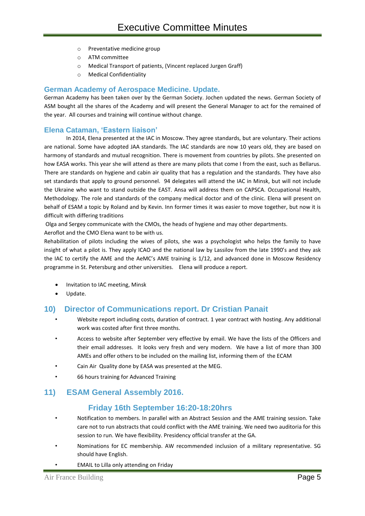- o Preventative medicine group
- o ATM committee
- o Medical Transport of patients, (Vincent replaced Jurgen Graff)
- o Medical Confidentiality

#### **German Academy of Aerospace Medicine. Update.**

German Academy has been taken over by the German Society. Jochen updated the news. German Society of ASM bought all the shares of the Academy and will present the General Manager to act for the remained of the year. All courses and training will continue without change.

#### **Elena Cataman, 'Eastern liaison'**

In 2014, Elena presented at the IAC in Moscow. They agree standards, but are voluntary. Their actions are national. Some have adopted JAA standards. The IAC standards are now 10 years old, they are based on harmony of standards and mutual recognition. There is movement from countries by pilots. She presented on how EASA works. This year she will attend as there are many pilots that come I from the east, such as Bellarus. There are standards on hygiene and cabin air quality that has a regulation and the standards. They have also set standards that apply to ground personnel. 94 delegates will attend the IAC in Minsk, but will not include the Ukraine who want to stand outside the EAST. Ansa will address them on CAPSCA. Occupational Health, Methodology. The role and standards of the company medical doctor and of the clinic. Elena will present on behalf of ESAM a topic by Roland and by Kevin. Inn former times it was easier to move together, but now it is difficult with differing traditions

Olga and Sergey communicate with the CMOs, the heads of hygiene and may other departments.

Aeroflot and the CMO Elena want to be with us.

Rehabilitation of pilots including the wives of pilots, she was a psychologist who helps the family to have insight of what a pilot is. They apply ICAO and the national law by Lassilov from the late 1990's and they ask the IAC to certify the AME and the AeMC's AME training is 1/12, and advanced done in Moscow Residency programme in St. Petersburg and other universities. Elena will produce a report.

- Invitation to IAC meeting, Minsk
- Update.

# **10) Director of Communications report. Dr Cristian Panait**

- Website report including costs, duration of contract. 1 year contract with hosting. Any additional work was costed after first three months.
- Access to website after September very effective by email. We have the lists of the Officers and their email addresses. It looks very fresh and very modern. We have a list of more than 300 AMEs and offer others to be included on the mailing list, informing them of the ECAM
- Cain Air Quality done by EASA was presented at the MEG.
- 66 hours training for Advanced Training

# **11) ESAM General Assembly 2016.**

# **Friday 16th September 16:20-18:20hrs**

- Notification to members. In parallel with an Abstract Session and the AME training session. Take care not to run abstracts that could conflict with the AME training. We need two auditoria for this session to run. We have flexibility. Presidency official transfer at the GA.
- Nominations for EC membership. AW recommended inclusion of a military representative. SG should have English.
- EMAIL to Lilla only attending on Friday